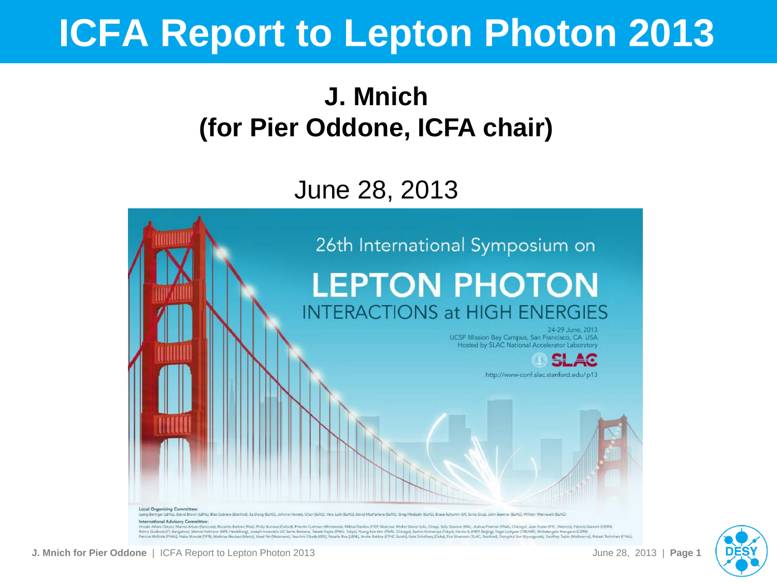# **ICFA Report to Lepton Photon 2013**

### **J. Mnich (for Pier Oddone, ICFA chair)**

June 28, 2013



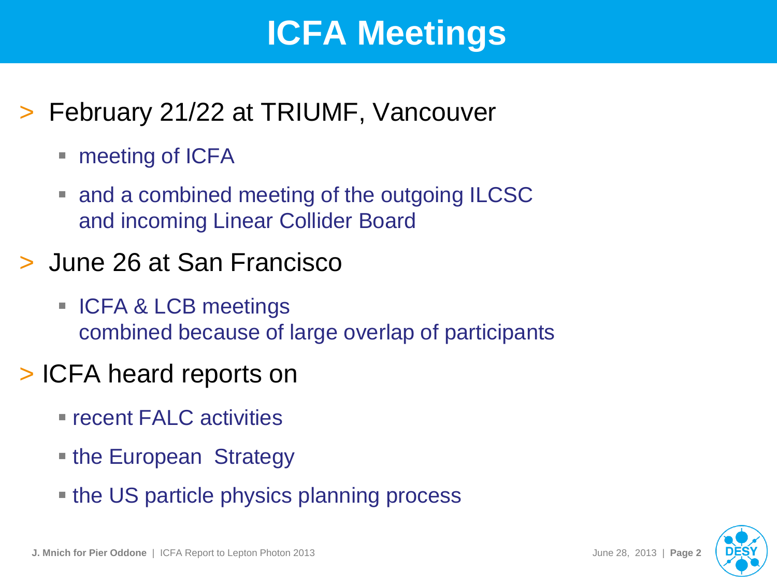## **ICFA Meetings**

- > February 21/22 at TRIUMF, Vancouver
	- meeting of ICFA
	- and a combined meeting of the outgoing ILCSC and incoming Linear Collider Board
- > June 26 at San Francisco
	- **ICFA & LCB meetings** combined because of large overlap of participants
- > ICFA heard reports on
	- **Figure 1 FALC activities**
	- the European Strategy
	- the US particle physics planning process

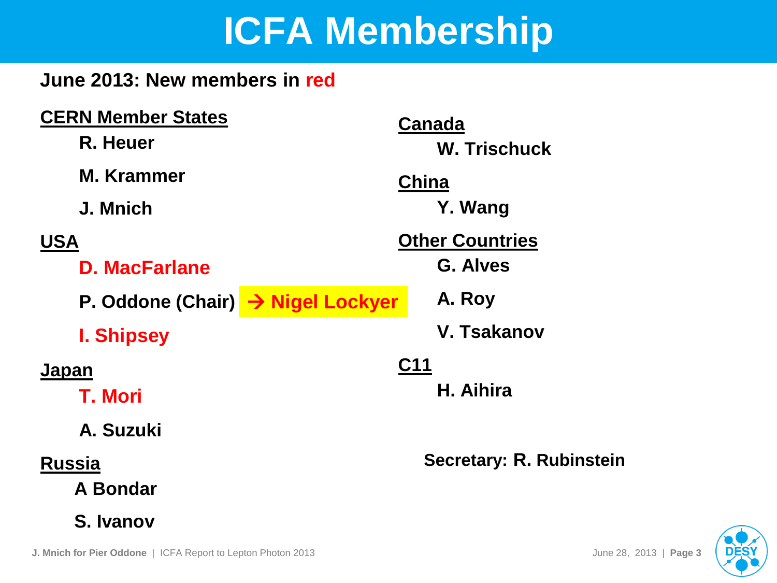# **ICFA Membership**

#### **June 2013: New members in red**

| <b>CERN Member States</b><br>R. Heuer |                                   | Canada<br><b>W. Trischuck</b> |  |
|---------------------------------------|-----------------------------------|-------------------------------|--|
| <b>M. Krammer</b>                     |                                   | <b>China</b>                  |  |
| J. Mnich                              | Y. Wang                           |                               |  |
| <b>USA</b>                            |                                   | <b>Other Countries</b>        |  |
| <b>D. MacFarlane</b>                  |                                   | <b>G. Alves</b>               |  |
|                                       | P. Oddone (Chair) → Nigel Lockyer | A. Roy                        |  |
| <b>I. Shipsey</b>                     |                                   | <b>V. Tsakanov</b>            |  |
| <b>Japan</b><br><b>T. Mori</b>        |                                   | C <sub>11</sub><br>H. Aihira  |  |
| A. Suzuki                             |                                   |                               |  |
| <u>Russia</u><br><b>A Bondar</b>      |                                   | Secretary: R. Rubinstein      |  |
| S. Ivanov                             |                                   |                               |  |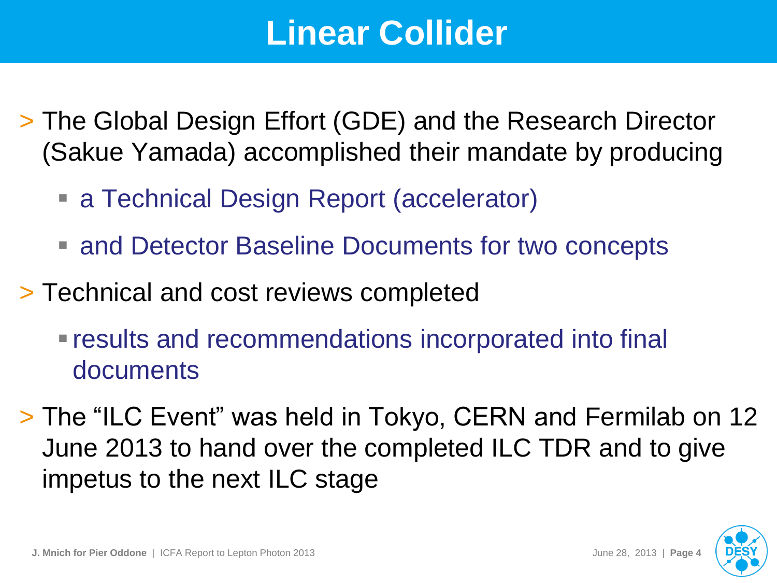## **Linear Collider**

- > The Global Design Effort (GDE) and the Research Director (Sakue Yamada) accomplished their mandate by producing
	- a Technical Design Report (accelerator)
	- and Detector Baseline Documents for two concepts
- > Technical and cost reviews completed
	- **results and recommendations incorporated into final** documents
- > The "ILC Event" was held in Tokyo, CERN and Fermilab on 12 June 2013 to hand over the completed ILC TDR and to give impetus to the next ILC stage

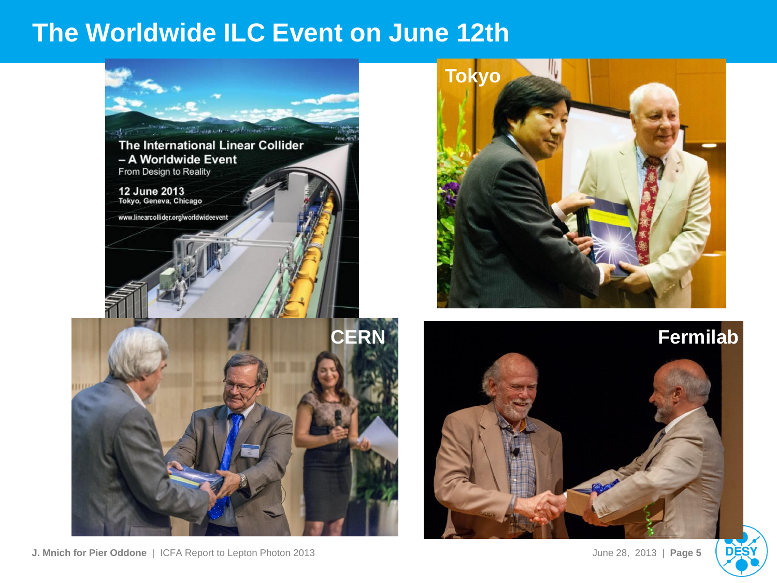#### **The Worldwide ILC Event on June 12th**









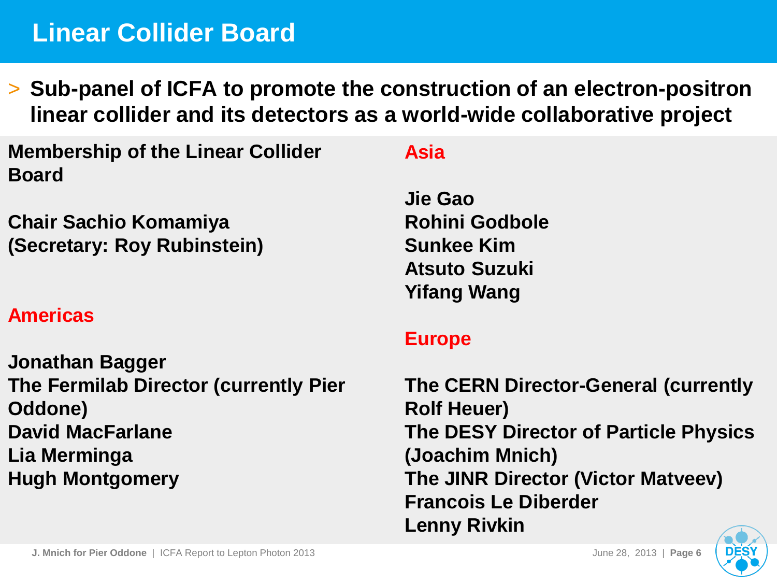### **Linear Collider Board**

> **Sub-panel of ICFA to promote the construction of an electron-positron linear collider and its detectors as a world-wide collaborative project**

| <b>Membership of the Linear Collider</b> |  |  |
|------------------------------------------|--|--|
| <b>Board</b>                             |  |  |

**Chair Sachio Komamiya (Secretary: Roy Rubinstein)**

#### **Americas**

**Jonathan Bagger The Fermilab Director (currently Pier Oddone) David MacFarlane Lia Merminga Hugh Montgomery** 

#### **Asia**

**Jie Gao Rohini Godbole Sunkee Kim Atsuto Suzuki Yifang Wang** 

#### **Europe**

**The CERN Director-General (currently Rolf Heuer) The DESY Director of Particle Physics (Joachim Mnich) The JINR Director (Victor Matveev) Francois Le Diberder Lenny Rivkin**

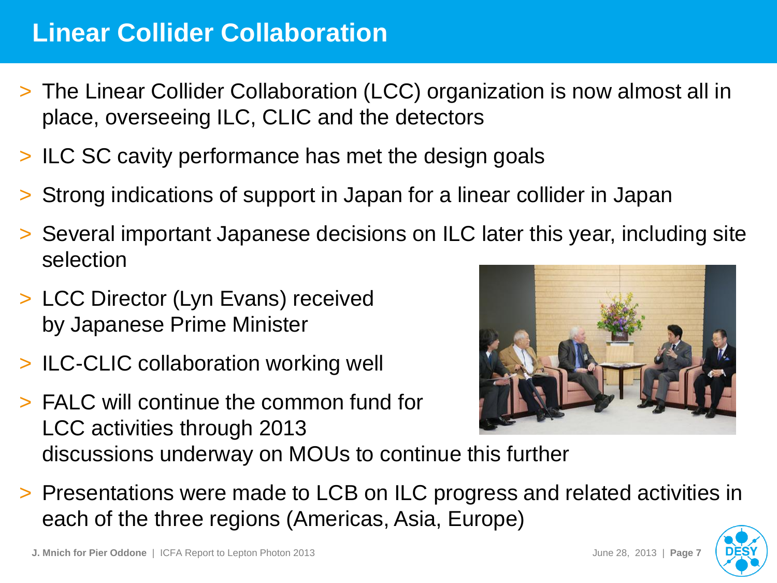### **Linear Collider Collaboration**

- > The Linear Collider Collaboration (LCC) organization is now almost all in place, overseeing ILC, CLIC and the detectors
- > ILC SC cavity performance has met the design goals
- > Strong indications of support in Japan for a linear collider in Japan
- > Several important Japanese decisions on ILC later this year, including site selection
- > LCC Director (Lyn Evans) received by Japanese Prime Minister
- > ILC-CLIC collaboration working well
- > FALC will continue the common fund for LCC activities through 2013 discussions underway on MOUs to continue this further



> Presentations were made to LCB on ILC progress and related activities in each of the three regions (Americas, Asia, Europe)

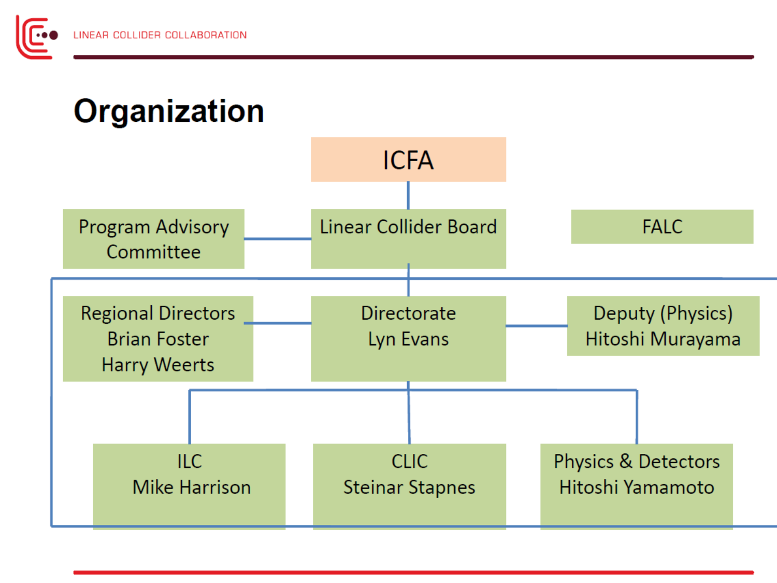



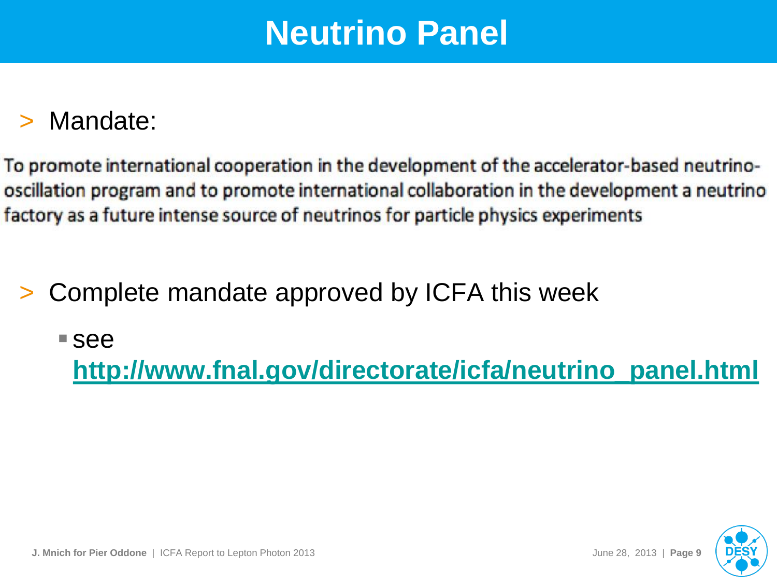## **Neutrino Panel**

### > Mandate:

To promote international cooperation in the development of the accelerator-based neutrinooscillation program and to promote international collaboration in the development a neutrino factory as a future intense source of neutrinos for particle physics experiments

- Complete mandate approved by ICFA this week
	- see

**[http://www.fnal.gov/directorate/icfa/neutrino\\_panel.html](http://www.fnal.gov/directorate/icfa/neutrino_panel.html)**

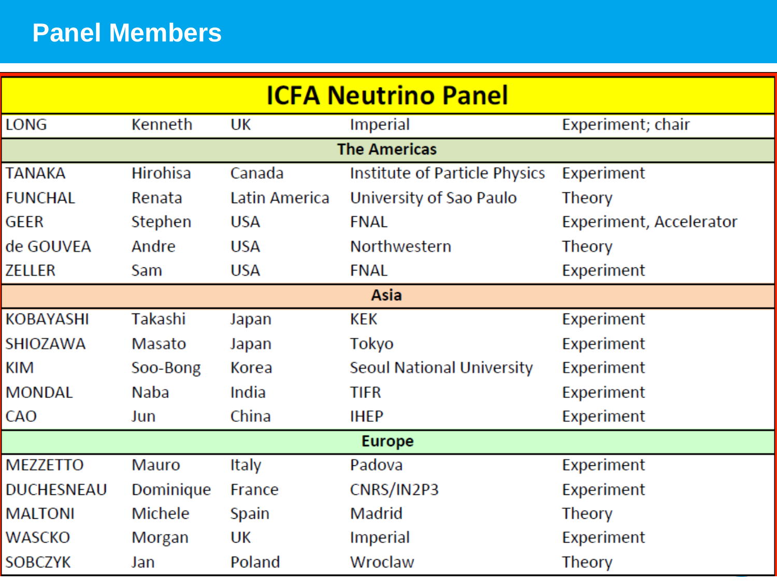### **Panel Members**

| <b>ICFA Neutrino Panel</b> |                 |               |                               |                         |  |  |  |
|----------------------------|-----------------|---------------|-------------------------------|-------------------------|--|--|--|
| LONG                       | Kenneth         | UK            | Imperial                      | Experiment; chair       |  |  |  |
| <b>The Americas</b>        |                 |               |                               |                         |  |  |  |
| <b>TANAKA</b>              | <b>Hirohisa</b> | Canada        | Institute of Particle Physics | Experiment              |  |  |  |
| <b>FUNCHAL</b>             | Renata          | Latin America | University of Sao Paulo       | <b>Theory</b>           |  |  |  |
| <b>GEER</b>                | Stephen         | <b>USA</b>    | <b>FNAL</b>                   | Experiment, Accelerator |  |  |  |
| de GOUVEA                  | Andre           | <b>USA</b>    | Northwestern                  | <b>Theory</b>           |  |  |  |
| <b>ZELLER</b>              | Sam             | <b>USA</b>    | <b>FNAL</b>                   | Experiment              |  |  |  |
| Asia                       |                 |               |                               |                         |  |  |  |
| <b>KOBAYASHI</b>           | Takashi         | Japan         | KEK                           | Experiment              |  |  |  |
| SHIOZAWA                   | Masato          | Japan         | Tokyo                         | Experiment              |  |  |  |
| KIM                        | Soo-Bong        | Korea         | Seoul National University     | Experiment              |  |  |  |
| <b>MONDAL</b>              | Naba            | India         | <b>TIFR</b>                   | Experiment              |  |  |  |
| CAO                        | Jun             | China         | <b>IHEP</b>                   | Experiment              |  |  |  |
| <b>Europe</b>              |                 |               |                               |                         |  |  |  |
| <b>MEZZETTO</b>            | Mauro           | Italy         | Padova                        | Experiment              |  |  |  |
| <b>DUCHESNEAU</b>          | Dominique       | France        | CNRS/IN2P3                    | Experiment              |  |  |  |
| <b>MALTONI</b>             | Michele         | Spain         | Madrid                        | <b>Theory</b>           |  |  |  |
| <b>WASCKO</b>              | Morgan          | UK            | Imperial                      | Experiment              |  |  |  |
| <b>SOBCZYK</b>             | Jan             | Poland        | Wroclaw                       | <b>Theory</b>           |  |  |  |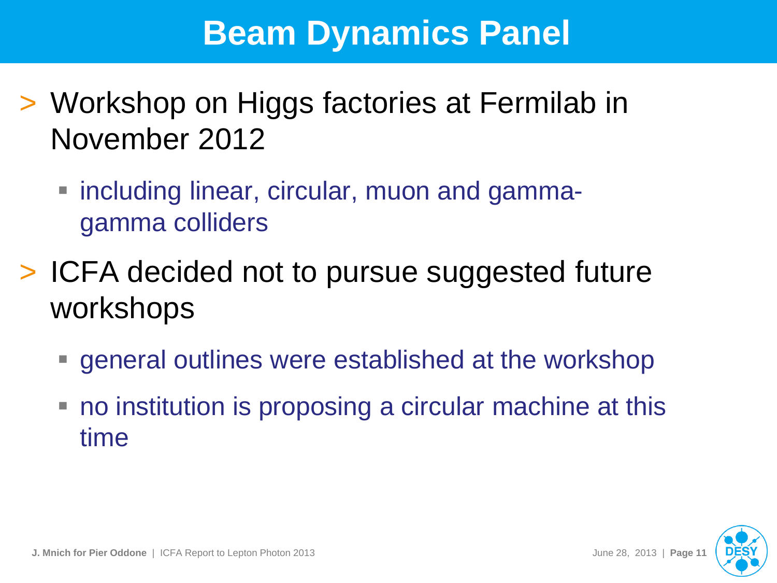## **Beam Dynamics Panel**

- > Workshop on Higgs factories at Fermilab in November 2012
	- including linear, circular, muon and gammagamma colliders
- > ICFA decided not to pursue suggested future workshops
	- general outlines were established at the workshop
	- no institution is proposing a circular machine at this time

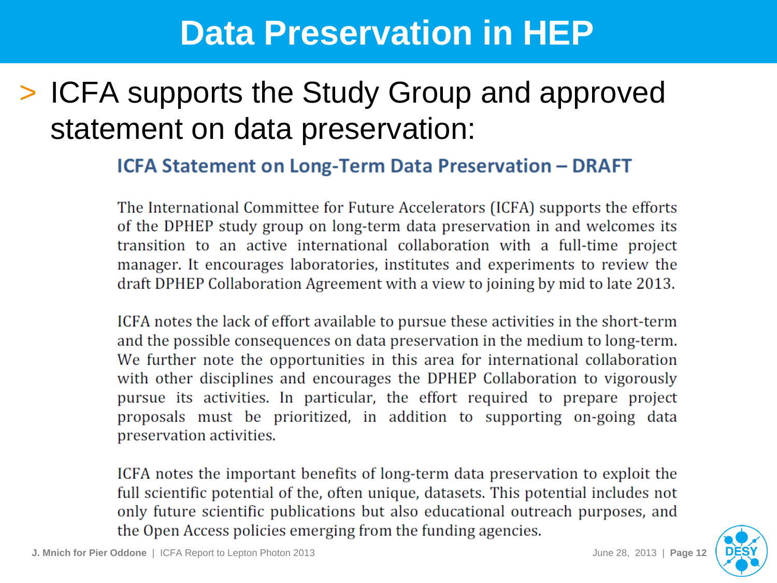## **Data Preservation in HEP**

### > ICFA supports the Study Group and approved statement on data preservation:

#### **ICFA Statement on Long-Term Data Preservation - DRAFT**

The International Committee for Future Accelerators (ICFA) supports the efforts of the DPHEP study group on long-term data preservation in and welcomes its transition to an active international collaboration with a full-time project manager. It encourages laboratories, institutes and experiments to review the draft DPHEP Collaboration Agreement with a view to joining by mid to late 2013.

ICFA notes the lack of effort available to pursue these activities in the short-term and the possible consequences on data preservation in the medium to long-term. We further note the opportunities in this area for international collaboration with other disciplines and encourages the DPHEP Collaboration to vigorously pursue its activities. In particular, the effort required to prepare project proposals must be prioritized, in addition to supporting on-going data preservation activities.

ICFA notes the important benefits of long-term data preservation to exploit the full scientific potential of the, often unique, datasets. This potential includes not only future scientific publications but also educational outreach purposes, and the Open Access policies emerging from the funding agencies.